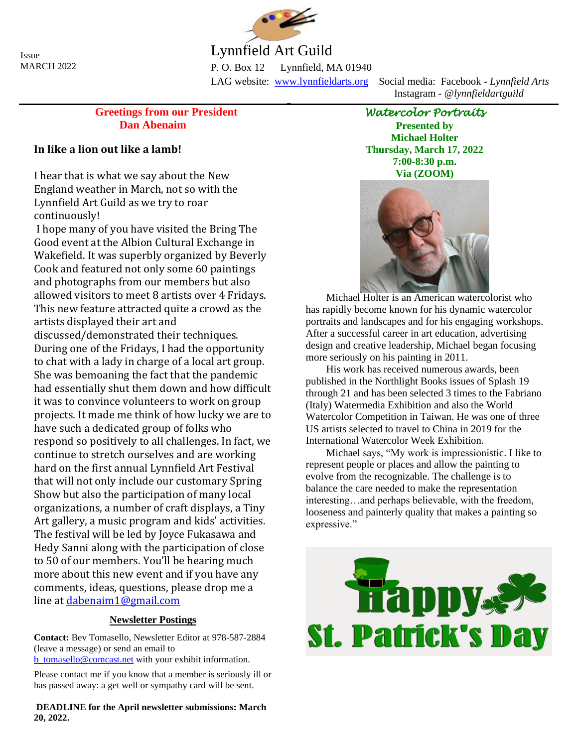Issue MARCH 2022



# Lynnfield Art Guild

P. O. Box 12 Lynnfield, MA 01940

 $\overline{a}$ 

LAG website: [www.lynnfieldarts.org](about:blank) Social media: Facebook - *Lynnfield Arts* Instagram - *@lynnfieldartguild*

## **Greetings from our President Dan Abenaim**

## **In like a lion out like a lamb!**

I hear that is what we say about the New England weather in March, not so with the Lynnfield Art Guild as we try to roar continuously!

I hope many of you have visited the Bring The Good event at the Albion Cultural Exchange in Wakefield. It was superbly organized by Beverly Cook and featured not only some 60 paintings and photographs from our members but also allowed visitors to meet 8 artists over 4 Fridays. This new feature attracted quite a crowd as the artists displayed their art and discussed/demonstrated their techniques. During one of the Fridays, I had the opportunity to chat with a lady in charge of a local art group. She was bemoaning the fact that the pandemic had essentially shut them down and how difficult it was to convince volunteers to work on group projects. It made me think of how lucky we are to have such a dedicated group of folks who respond so positively to all challenges. In fact, we continue to stretch ourselves and are working hard on the first annual Lynnfield Art Festival that will not only include our customary Spring Show but also the participation of many local organizations, a number of craft displays, a Tiny Art gallery, a music program and kids' activities. The festival will be led by Joyce Fukasawa and Hedy Sanni along with the participation of close to 50 of our members. You'll be hearing much more about this new event and if you have any comments, ideas, questions, please drop me a line at [dabenaim1@gmail.com](mailto:dabenaim1@gmail.com)

## **Newsletter Postings**

**Contact:** Bev Tomasello, Newsletter Editor at 978-587-2884 (leave a message) or send an email to [b\\_tomasello@comcast.net](about:blank) with your exhibit information.

Please contact me if you know that a member is seriously ill or has passed away: a get well or sympathy card will be sent.

**DEADLINE for the April newsletter submissions: March 20, 2022.**

*Watercolor Portraits* 

**Presented by Michael Holter Thursday, March 17, 2022 7:00-8:30 p.m. Via (ZOOM)**



Michael Holter is an American watercolorist who has rapidly become known for his dynamic watercolor portraits and landscapes and for his engaging workshops. After a successful career in art education, advertising design and creative leadership, Michael began focusing more seriously on his painting in 2011.

His work has received numerous awards, been published in the Northlight Books issues of Splash 19 through 21 and has been selected 3 times to the Fabriano (Italy) Watermedia Exhibition and also the World Watercolor Competition in Taiwan. He was one of three US artists selected to travel to China in 2019 for the International Watercolor Week Exhibition.

Michael says, "My work is impressionistic. I like to represent people or places and allow the painting to evolve from the recognizable. The challenge is to balance the care needed to make the representation interesting…and perhaps believable, with the freedom, looseness and painterly quality that makes a painting so expressive."